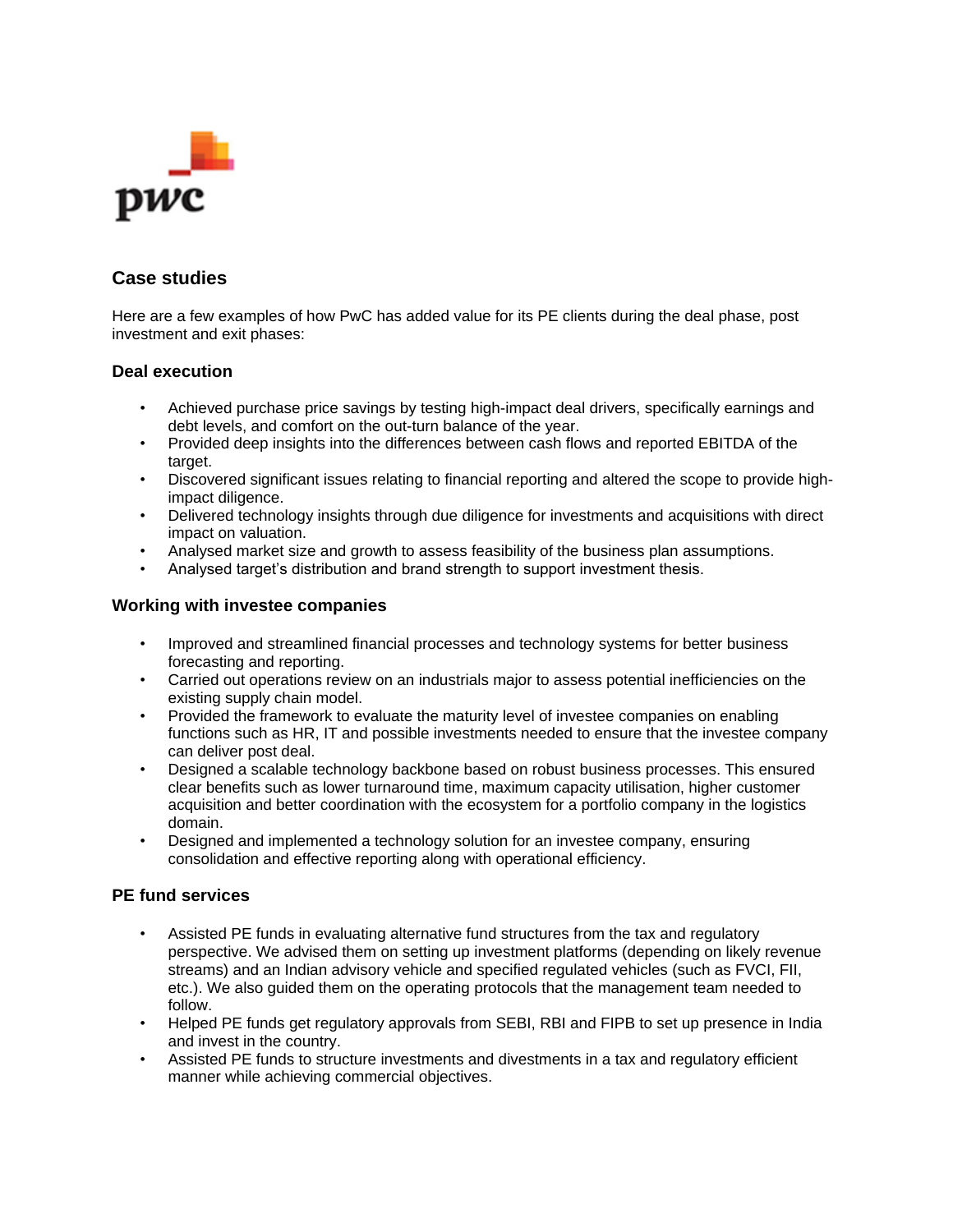

## **Case studies**

Here are a few examples of how PwC has added value for its PE clients during the deal phase, post investment and exit phases:

## **Deal execution**

- Achieved purchase price savings by testing high-impact deal drivers, specifically earnings and debt levels, and comfort on the out-turn balance of the year.
- Provided deep insights into the differences between cash flows and reported EBITDA of the target.
- Discovered significant issues relating to financial reporting and altered the scope to provide highimpact diligence.
- Delivered technology insights through due diligence for investments and acquisitions with direct impact on valuation.
- Analysed market size and growth to assess feasibility of the business plan assumptions.
- Analysed target's distribution and brand strength to support investment thesis.

## **Working with investee companies**

- Improved and streamlined financial processes and technology systems for better business forecasting and reporting.
- Carried out operations review on an industrials major to assess potential inefficiencies on the existing supply chain model.
- Provided the framework to evaluate the maturity level of investee companies on enabling functions such as HR, IT and possible investments needed to ensure that the investee company can deliver post deal.
- Designed a scalable technology backbone based on robust business processes. This ensured clear benefits such as lower turnaround time, maximum capacity utilisation, higher customer acquisition and better coordination with the ecosystem for a portfolio company in the logistics domain.
- Designed and implemented a technology solution for an investee company, ensuring consolidation and effective reporting along with operational efficiency.

## **PE fund services**

- Assisted PE funds in evaluating alternative fund structures from the tax and regulatory perspective. We advised them on setting up investment platforms (depending on likely revenue streams) and an Indian advisory vehicle and specified regulated vehicles (such as FVCI, FII, etc.). We also guided them on the operating protocols that the management team needed to follow.
- Helped PE funds get regulatory approvals from SEBI, RBI and FIPB to set up presence in India and invest in the country.
- Assisted PE funds to structure investments and divestments in a tax and regulatory efficient manner while achieving commercial objectives.